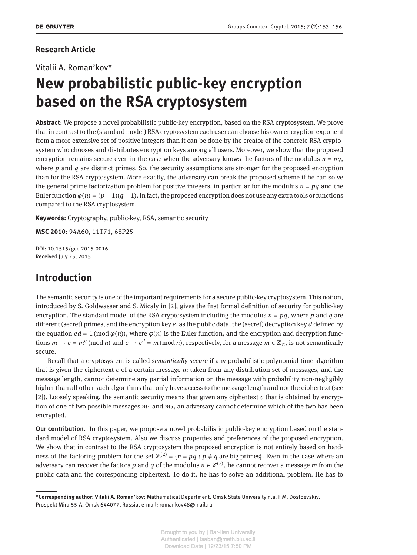### **Research Article**

Vitalii A. Roman'kov\*

# **New probabilistic public-key encryption based on the RSA cryptosystem**

**Abstract:** We propose a novel probabilistic public-key encryption, based on the RSA cryptosystem. We prove that in contrast to the (standard model) RSA cryptosystem each user can choose his own encryption exponent from a more extensive set of positive integers than it can be done by the creator of the concrete RSA cryptosystem who chooses and distributes encryption keys among all users. Moreover, we show that the proposed encryption remains secure even in the case when the adversary knows the factors of the modulus  $n = pq$ , where *p* and *q* are distinct primes. So, the security assumptions are stronger for the proposed encryption than for the RSA cryptosystem. More exactly, the adversary can break the proposed scheme if he can solve the general prime factorization problem for positive integers, in particular for the modulus  $n = pq$  and the Euler function  $\varphi(n) = (p-1)(q-1)$ . In fact, the proposed encryption does not use any extra tools or functions compared to the RSA cryptosystem.

**Keywords:** Cryptography, public-key, RSA, semantic security

**MSC 2010:** 94A60, 11T71, 68P25

DOI: 10.1515/gcc-2015-0016 Received July 25, 2015

# **Introduction**

The semantic security is one of the important requirements for a secure public-key cryptosystem. This notion, introduced by S. Goldwasser and S. Micaly in [\[2\]](#page-3-1), gives the first formal definition of security for public-key encryption. The standard model of the RSA cryptosystem including the modulus  $n = pq$ , where  $p$  and  $q$  are different (secret) primes, and the encryption key *e*, as the public data, the (secret) decryption key *d* defined by the equation  $ed = 1 \pmod{\varphi(n)}$ , where  $\varphi(n)$  is the Euler function, and the encryption and decryption functions  $m \to c = m^e \pmod{n}$  and  $c \to c^d = m \pmod{n}$ , respectively, for a message  $m \in \mathbb{Z}_n$ , is not semantically secure.

Recall that a cryptosystem is called *semantically secure* if any probabilistic polynomial time algorithm that is given the ciphertext *c* of a certain message *m* taken from any distribution set of messages, and the message length, cannot determine any partial information on the message with probability non-negligibly higher than all other such algorithms that only have access to the message length and not the ciphertext (see [\[2\]](#page-3-1)). Loosely speaking, the semantic security means that given any ciphertext *c* that is obtained by encryption of one of two possible messages  $m_1$  and  $m_2$ , an adversary cannot determine which of the two has been encrypted.

**Our contribution.** In this paper, we propose a novel probabilistic public-key encryption based on the standard model of RSA cryptosystem. Also we discuss properties and preferences of the proposed encryption. We show that in contrast to the RSA cryptosystem the proposed encryption is not entirely based on hardness of the factoring problem for the set  $\mathbb{Z}^{(2)} = \{n = pq : p \neq q \text{ are big primes}\}$ . Even in the case where an adversary can recover the factors  $p$  and  $q$  of the modulus  $n \in \mathbb{Z}^{(2)}$ , he cannot recover a message  $m$  from the public data and the corresponding ciphertext. To do it, he has to solve an additional problem. He has to

**<sup>\*</sup>Corresponding author: Vitalii A. Roman'kov:** Mathematical Department, Omsk State University n.a. F.M. Dostoevskiy, Prospekt Mira 55-A, Omsk 644077, Russia, e-mail: romankov48@mail.ru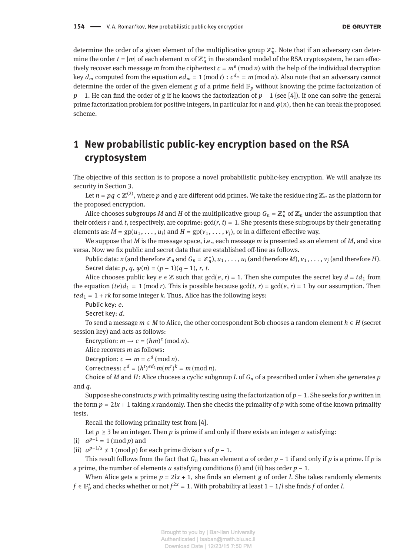determine the order of a given element of the multiplicative group ℤ<sup>∗</sup> *n* . Note that if an adversary can determine the order  $t = |m|$  of each element  $m$  of  $\mathbb{Z}_n^*$  in the standard model of the RSA cryptosystem, he can effectively recover each message *m* from the ciphertext  $c = m^e \pmod{n}$  with the help of the individual decryption key  $d_m$  computed from the equation  $ed_m = 1$  (mod  $t)$  :  $c^{d_m} = m$  (mod  $n$ ). Also note that an adversary cannot determine the order of the given element  $g$  of a prime field  $\mathbb{F}_p$  without knowing the prime factorization of *p* − 1. He can find the order of *g* if he knows the factorization of *p* − 1 (see [\[4\]](#page-3-2)). If one can solve the general prime factorization problem for positive integers, in particular for *n* and  $\varphi(n)$ , then he can break the proposed scheme.

# **1 New probabilistic public-key encryption based on the RSA cryptosystem**

The objective of this section is to propose a novel probabilistic public-key encryption. We will analyze its security in Section [3.](#page-3-3)

Let  $n=pq\in\mathbb{Z}^{(2)}$ , where  $p$  and  $q$  are different odd primes. We take the residue ring  $\mathbb{Z}_n$  as the platform for the proposed encryption.

Alice chooses subgroups *M* and *H* of the multiplicative group  $G_n = \mathbb{Z}_n^*$  of  $\mathbb{Z}_n$  under the assumption that their orders *r* and *t*, respectively, are coprime:  $gcd(r, t) = 1$ . She presents these subgroups by their generating elements as:  $M = gp(u_1, \ldots, u_i)$  and  $H = gp(v_1, \ldots, v_i)$ , or in a different effective way.

We suppose that *M* is the message space, i.e., each message *m* is presented as an element of *M*, and vice versa. Now we fix public and secret data that are established off-line as follows.

Public data: *n* (and therefore  $\mathbb{Z}_n$  and  $G_n = \mathbb{Z}_n^*$ ),  $u_1, \ldots, u_i$  (and therefore *M*),  $v_1, \ldots, v_j$  (and therefore *H*). Secret data:  $p, q, \varphi(n) = (p - 1)(q - 1), r, t$ .

Alice chooses public key  $e \in \mathbb{Z}$  such that  $gcd(e, r) = 1$ . Then she computes the secret key  $d = td_1$  from the equation  $(te)d_1 = 1 \pmod{r}$ . This is possible because  $gcd(t, r) = gcd(e, r) = 1$  by our assumption. Then  $ted_1 = 1 + rk$  for some integer  $k$ . Thus, Alice has the following keys:

Public key: *e*.

Secret key: *d*.

To send a message *m* ∈ *M* to Alice, the other correspondent Bob chooses a random element *h* ∈ *H* (secret session key) and acts as follows:

Encryption:  $m \rightarrow c = (hm)^e \pmod{n}$ .

Alice recovers *m* as follows:

Decryption:  $c \rightarrow m = c^d \pmod{n}$ .

Correctness:  $c^d = (h^t)^{ed_1} m(m^r)^k = m \pmod{n}$ .

Choice of *M* and *H*: Alice chooses a cyclic subgroup *L* of *G<sup>n</sup>* of a prescribed order *l* when she generates *p* and *q*.

Suppose she constructs *p* with primality testing using the factorization of *p* − 1. She seeks for *p* written in the form  $p = 2lx + 1$  taking x randomly. Then she checks the primality of p with some of the known primality tests.

Recall the following primality test from [\[4\]](#page-3-2).

Let  $p \geq 3$  be an integer. Then p is prime if and only if there exists an integer a satisfying:

(i)  $a^{p-1} = 1 \pmod{p}$  and

(ii)  $a^{p-1/s} \neq 1 \pmod{p}$  for each prime divisor *s* of *p* − 1.

This result follows from the fact that  $G_n$  has an element *a* of order  $p - 1$  if and only if *p* is a prime. If *p* is a prime, the number of elements *a* satisfying conditions (i) and (ii) has order *p* − 1.

When Alice gets a prime  $p = 2lx + 1$ , she finds an element *g* of order *l*. She takes randomly elements *f* ∈  $\mathbb{F}_p^*$  and checks whether or not  $f^{2x} = 1$ . With probability at least 1 – 1/*l* she finds *f* of order *l*.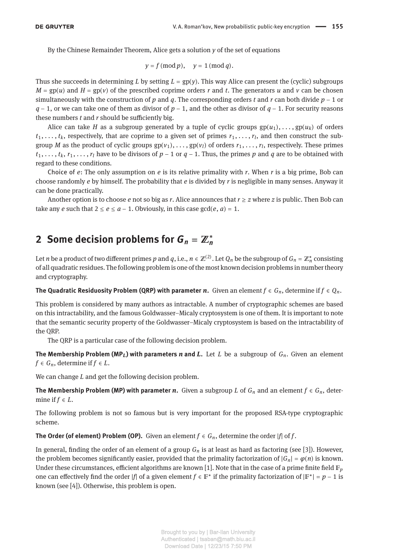By the Chinese Remainder Theorem, Alice gets a solution *y* of the set of equations

$$
y = f \pmod{p}, \quad y = 1 \pmod{q}.
$$

Thus she succeeds in determining *L* by setting  $L = gp(y)$ . This way Alice can present the (cyclic) subgroups  $M = gp(u)$  and  $H = gp(v)$  of the prescribed coprime orders *r* and *t*. The generators *u* and *v* can be chosen simultaneously with the construction of *p* and *q*. The corresponding orders *t* and *r* can both divide *p* − 1 or *q* − 1, or we can take one of them as divisor of *p* − 1, and the other as divisor of *q* − 1. For security reasons these numbers  $t$  and  $r$  should be sufficiently big.

Alice can take *H* as a subgroup generated by a tuple of cyclic groups  $gp(u_1), \ldots, gp(u_k)$  of orders  $t_1, \ldots, t_k$ , respectively, that are coprime to a given set of primes  $r_1, \ldots, r_l$ , and then construct the subgroup *M* as the product of cyclic groups  $gp(v_1), \ldots, gp(v_l)$  of orders  $r_1, \ldots, r_l$ , respectively. These primes  $t_1, \ldots, t_k, r_1, \ldots, r_l$  have to be divisors of  $p - 1$  or  $q - 1$ . Thus, the primes p and q are to be obtained with regard to these conditions.

Choice of *e*: The only assumption on *e* is its relative primality with *r*. When *r* is a big prime, Bob can choose randomly *e* by himself. The probability that *e* is divided by *r* is negligible in many senses. Anyway it can be done practically.

Another option is to choose *e* not so big as *r*. Alice announces that  $r \geq z$  where *z* is public. Then Bob can take any *e* such that  $2 \le e \le a - 1$ . Obviously, in this case  $gcd(e, a) = 1$ .

#### **2** Some decision problems for  $G_n = \mathbb{Z}_n^*$ *n*

Let *n* be a product of two different primes *p* and *q*, i.e.,  $n \in \mathbb{Z}^{(2)}$ . Let  $Q_n$  be the subgroup of  $G_n = \mathbb{Z}_n^*$  consisting of all quadratic residues. The following problem is one of the most known decision problems in number theory and cryptography.

**The Quadratic Residuosity Problem (QRP) with parameter** *n***.** Given an element  $f \in G_n$ , determine if  $f \in Q_n$ .

This problem is considered by many authors as intractable. A number of cryptographic schemes are based on this intractability, and the famous Goldwasser–Micaly cryptosystem is one of them. It is important to note that the semantic security property of the Goldwasser–Micaly cryptosystem is based on the intractability of the QRP.

The QRP is a particular case of the following decision problem.

**The Membership Problem (MP<sub>L</sub>) with parameters** *n* **and** *L***. Let** *L* **be a subgroup of**  $G_n$ **. Given an element** *f* ∈  $G_n$ , determine if  $f$  ∈  $L$ .

We can change *L* and get the following decision problem.

**The Membership Problem (MP) with parameter** *n***.** Given a subgroup *L* of  $G_n$  and an element  $f \in G_n$ , determine if  $f \in L$ .

The following problem is not so famous but is very important for the proposed RSA-type cryptographic scheme.

**The Order (of element) Problem (OP).** Given an element  $f \in G_n$ , determine the order  $|f|$  of  $f$ .

In general, finding the order of an element of a group  $G_n$  is at least as hard as factoring (see [\[3\]](#page-3-4)). However, the problem becomes significantly easier, provided that the primality factorization of  $|G_n| = \varphi(n)$  is known. Under these circumstances, efficient algorithms are known [\[1\]](#page-3-5). Note that in the case of a prime finite field  $\mathbb{F}_p$ one can effectively find the order |*f*| of a given element  $f \in \mathbb{F}^*$  if the primality factorization of  $|\mathbb{F}^*| = p - 1$  is known (see [\[4\]](#page-3-2)). Otherwise, this problem is open.